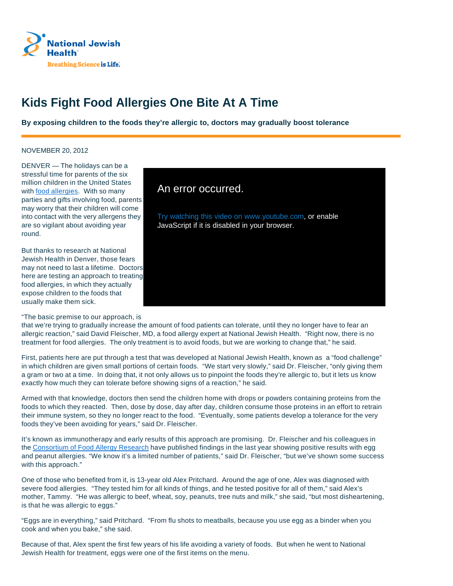

## **Kids Fight Food Allergies One Bite At A Time**

**By exposing children to the foods they're allergic to, doctors may gradually boost tolerance**

## NOVEMBER 20, 2012

DENVER — The holidays can be a stressful time for parents of the six million children in the United States with **food allergies**. With so many parties and gifts involving food, parents may worry that their children will come into contact with the very allergens they are so vigilant about avoiding year round.

But thanks to research at National Jewish Health in Denver, those fears may not need to last a lifetime. Doctors here are testing an approach to treating food allergies, in which they actually expose children to the foods that usually make them sick.

## An error occurred.

Try watching this video on www.youtube.com, or enable JavaScript if it is disabled in your browser.

"The basic premise to our approach, is

that we're trying to gradually increase the amount of food patients can tolerate, until they no longer have to fear an allergic reaction," said David Fleischer, MD, a food allergy expert at National Jewish Health. "Right now, there is no treatment for food allergies. The only treatment is to avoid foods, but we are working to change that," he said.

First, patients here are put through a test that was developed at National Jewish Health, known as a "food challenge" in which children are given small portions of certain foods. "We start very slowly," said Dr. Fleischer, "only giving them a gram or two at a time. In doing that, it not only allows us to pinpoint the foods they're allergic to, but it lets us know exactly how much they can tolerate before showing signs of a reaction," he said.

Armed with that knowledge, doctors then send the children home with drops or powders containing proteins from the foods to which they reacted. Then, dose by dose, day after day, children consume those proteins in an effort to retrain their immune system, so they no longer react to the food. "Eventually, some patients develop a tolerance for the very foods they've been avoiding for years," said Dr. Fleischer.

It's known as immunotherapy and early results of this approach are promising. Dr. Fleischer and his colleagues in the Consortium of Food Allergy Research have published findings in the last year showing positive results with egg and peanut allergies. "We know it's a limited number of patients," said Dr. Fleischer, "but we've shown some success with this approach."

One of those who benefited from it, is 13-year old Alex Pritchard. Around the age of one, Alex was diagnosed with severe food allergies. "They tested him for all kinds of things, and he tested positive for all of them," said Alex's mother, Tammy. "He was allergic to beef, wheat, soy, peanuts, tree nuts and milk," she said, "but most disheartening, is that he was allergic to eggs."

"Eggs are in everything," said Pritchard. "From flu shots to meatballs, because you use egg as a binder when you cook and when you bake," she said.

Because of that, Alex spent the first few years of his life avoiding a variety of foods. But when he went to National Jewish Health for treatment, eggs were one of the first items on the menu.